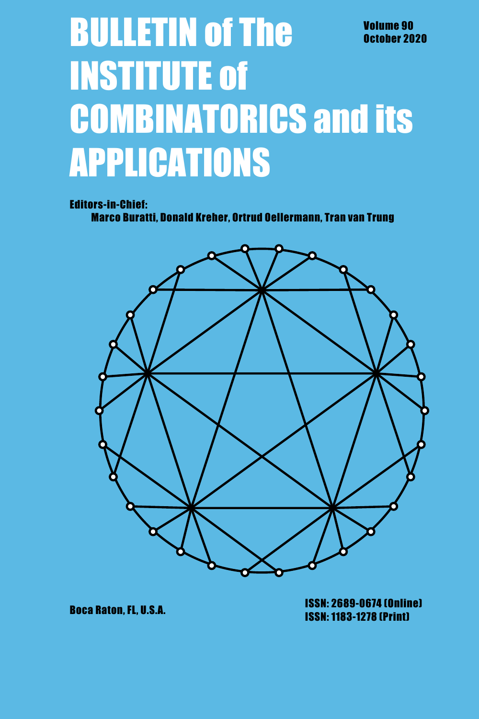# **BULLETIN of The Volume 90** October 2020 **INSTITUTE of COMBINATORICS and its APPLICATIONS**

#### **Editors-in-Chief:**

Marco Buratti, Donald Kreher, Ortrud Oellermann, Tran van Trung



**Boca Raton, FL, U.S.A.** 

**ISSN: 2689-0674 (Online) ISSN: 1183-1278 (Print)**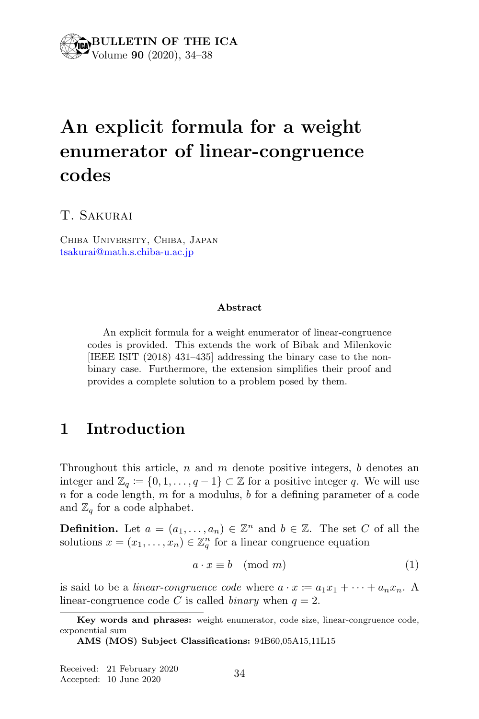## An explicit formula for a weight enumerator of linear-congruence codes

T. Sakurai

Chiba University, Chiba, Japan tsakurai@math.s.chiba-u.ac.jp

#### Abstract

An explicit formula for a weight enumerator of linear-congruence codes is provided. This extends the work of Bibak and Milenkovic [IEEE ISIT (2018) 431–435] addressing the binary case to the nonbinary case. Furthermore, the extension simplifies their proof and provides a complete solution to a problem posed by them.

#### 1 Introduction

Throughout this article,  $n$  and  $m$  denote positive integers,  $b$  denotes an integer and  $\mathbb{Z}_q := \{0, 1, \ldots, q - 1\} \subset \mathbb{Z}$  for a positive integer q. We will use  $n$  for a code length,  $m$  for a modulus,  $b$  for a defining parameter of a code and  $\mathbb{Z}_q$  for a code alphabet.

**Definition.** Let  $a = (a_1, \ldots, a_n) \in \mathbb{Z}^n$  and  $b \in \mathbb{Z}$ . The set C of all the solutions  $x = (x_1, \ldots, x_n) \in \mathbb{Z}_q^n$  for a linear congruence equation

$$
a \cdot x \equiv b \pmod{m} \tag{1}
$$

is said to be a *linear-congruence code* where  $a \cdot x \coloneqq a_1 x_1 + \cdots + a_n x_n$ . A linear-congruence code C is called *binary* when  $q = 2$ .

Key words and phrases: weight enumerator, code size, linear-congruence code, exponential sum

AMS (MOS) Subject Classifications: 94B60,05A15,11L15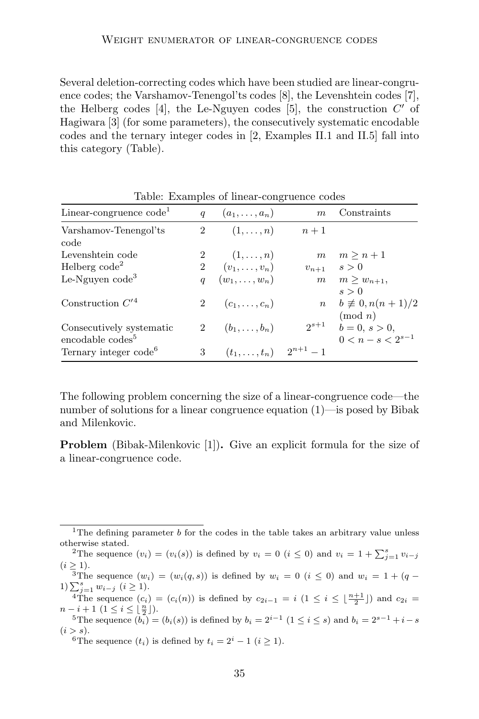Several deletion-correcting codes which have been studied are linear-congruence codes; the Varshamov-Tenengol'ts codes [8], the Levenshtein codes [7], the Helberg codes [4], the Le-Nguyen codes [5], the construction  $C'$  of Hagiwara [3] (for some parameters), the consecutively systematic encodable codes and the ternary integer codes in [2, Examples II.1 and II.5] fall into this category (Table).

| Linear-congruence $code1$                                | q                | $(a_1,\ldots,a_n)$     | $\boldsymbol{m}$ | Constraints                              |
|----------------------------------------------------------|------------------|------------------------|------------------|------------------------------------------|
| Varshamov-Tenengol'ts<br>code                            | $\overline{2}$   | $(1,\ldots,n)$         | $n+1$            |                                          |
| Levenshtein code                                         |                  | 2 $(1,\ldots,n)$       | m                | $m > n+1$                                |
| Helberg $\text{code}^2$                                  |                  | 2 $(v_1, \ldots, v_n)$ | $v_{n+1}$        | s>0                                      |
| Le-Nguyen $code^3$                                       | $\boldsymbol{q}$ | $(w_1,\ldots,w_n)$     | m                | $m > w_{n+1}$<br>s > 0                   |
| Construction $C^{\prime 4}$                              | $^{2}$           | $(c_1,\ldots,c_n)$     | $\boldsymbol{n}$ | $b \neq 0, n(n + 1)/2$<br>$\pmod{n}$     |
| Consecutively systematic<br>encodable codes <sup>5</sup> | $\overline{2}$   | $(b_1,\ldots,b_n)$     | $2^{s+1}$        | $b = 0, s > 0,$<br>$0 < n - s < 2^{s-1}$ |
| Ternary integer code <sup>6</sup>                        | 3                | $(t_1,\ldots,t_n)$     | $2^{n+1} - 1$    |                                          |

Table: Examples of linear-congruence codes

The following problem concerning the size of a linear-congruence code—the number of solutions for a linear congruence equation (1)—is posed by Bibak and Milenkovic.

Problem (Bibak-Milenkovic [1]). Give an explicit formula for the size of a linear-congruence code.

<sup>2</sup> The sequence  $(b_i) = (b_i(s))$  is defined by  $b_i = 2^{i-1}$   $(1 \le i \le s)$  and  $b_i = 2^{s-1} + i - s$  $(i > s).$ 

<sup>6</sup>The sequence  $(t_i)$  is defined by  $t_i = 2^i - 1$   $(i \geq 1)$ .

<sup>&</sup>lt;sup>1</sup>The defining parameter b for the codes in the table takes an arbitrary value unless otherwise stated.

<sup>&</sup>lt;sup>2</sup>The sequence  $(v_i) = (v_i(s))$  is defined by  $v_i = 0$   $(i \leq 0)$  and  $v_i = 1 + \sum_{j=1}^{s} v_{i-j}$  $(i \geq 1)$ .

<sup>&</sup>lt;sup>3</sup>The sequence  $(w_i) = (w_i(q, s))$  is defined by  $w_i = 0$   $(i \leq 0)$  and  $w_i = 1 + (q -$ 1)  $\sum_{j=1}^{s} w_{i-j}$  (*i* ≥ 1).

<sup>&</sup>lt;sup>4</sup>The sequence  $(c_i) = (c_i(n))$  is defined by  $c_{2i-1} = i \left(1 \leq i \leq \lfloor \frac{n+1}{2} \rfloor \right)$  and  $c_{2i} =$  $n-i+1$   $(1 \leq i \leq \lfloor \frac{n}{2} \rfloor).$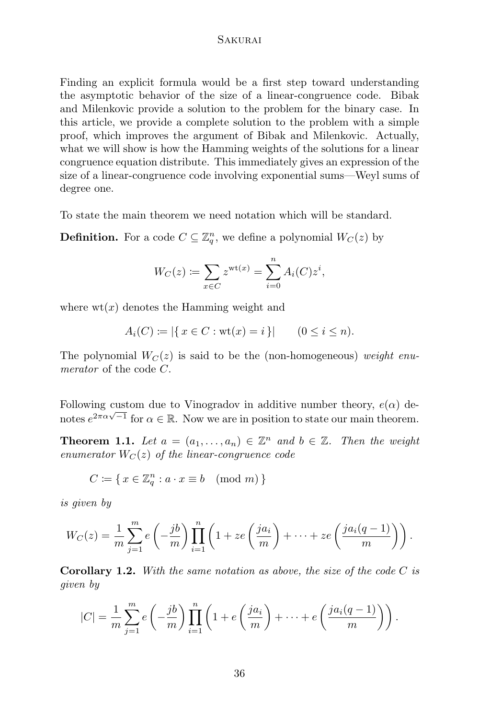#### **SAKURAI**

Finding an explicit formula would be a first step toward understanding the asymptotic behavior of the size of a linear-congruence code. Bibak and Milenkovic provide a solution to the problem for the binary case. In this article, we provide a complete solution to the problem with a simple proof, which improves the argument of Bibak and Milenkovic. Actually, what we will show is how the Hamming weights of the solutions for a linear congruence equation distribute. This immediately gives an expression of the size of a linear-congruence code involving exponential sums—Weyl sums of degree one.

To state the main theorem we need notation which will be standard.

**Definition.** For a code  $C \subseteq \mathbb{Z}_q^n$ , we define a polynomial  $W_C(z)$  by

$$
W_C(z) := \sum_{x \in C} z^{\text{wt}(x)} = \sum_{i=0}^n A_i(C) z^i,
$$

where  $wt(x)$  denotes the Hamming weight and

$$
A_i(C) := |\{ x \in C : \text{wt}(x) = i \}| \qquad (0 \le i \le n).
$$

The polynomial  $W_C(z)$  is said to be the (non-homogeneous) weight enumerator of the code C.

Following custom due to Vinogradov in additive number theory,  $e(\alpha)$  denotes  $e^{2\pi\alpha\sqrt{-1}}$  for  $\alpha \in \mathbb{R}$ . Now we are in position to state our main theorem.

**Theorem 1.1.** Let  $a = (a_1, \ldots, a_n) \in \mathbb{Z}^n$  and  $b \in \mathbb{Z}$ . Then the weight enumerator  $W_C(z)$  of the linear-congruence code

$$
C \coloneqq \{ \, x \in \mathbb{Z}_q^n : a \cdot x \equiv b \pmod{m} \, \}
$$

is given by

$$
W_C(z) = \frac{1}{m} \sum_{j=1}^m e\left(-\frac{jb}{m}\right) \prod_{i=1}^n \left(1 + ze\left(\frac{ja_i}{m}\right) + \dots + ze\left(\frac{ja_i(q-1)}{m}\right)\right).
$$

**Corollary 1.2.** With the same notation as above, the size of the code  $C$  is given by

$$
|C| = \frac{1}{m} \sum_{j=1}^{m} e\left(-\frac{jb}{m}\right) \prod_{i=1}^{n} \left(1 + e\left(\frac{ja_i}{m}\right) + \dots + e\left(\frac{ja_i(q-1)}{m}\right)\right).
$$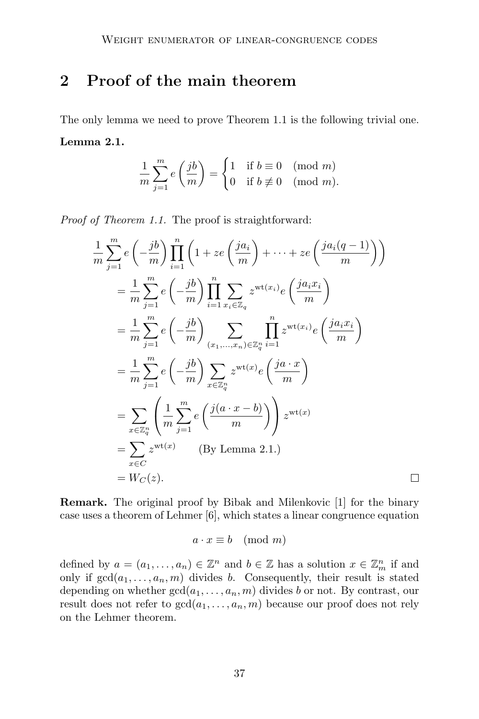## 2 Proof of the main theorem

The only lemma we need to prove Theorem 1.1 is the following trivial one. Lemma 2.1.

$$
\frac{1}{m}\sum_{j=1}^{m}e\left(\frac{jb}{m}\right) = \begin{cases} 1 & \text{if } b \equiv 0 \pmod{m} \\ 0 & \text{if } b \not\equiv 0 \pmod{m} \end{cases}
$$

Proof of Theorem 1.1. The proof is straightforward:

$$
\frac{1}{m} \sum_{j=1}^{m} e\left(-\frac{jb}{m}\right) \prod_{i=1}^{n} \left(1 + ze\left(\frac{ja_i}{m}\right) + \dots + ze\left(\frac{ja_i(q-1)}{m}\right)\right)
$$
\n
$$
= \frac{1}{m} \sum_{j=1}^{m} e\left(-\frac{jb}{m}\right) \prod_{i=1}^{n} \sum_{x_i \in \mathbb{Z}_q} z^{\text{wt}(x_i)} e\left(\frac{ja_i x_i}{m}\right)
$$
\n
$$
= \frac{1}{m} \sum_{j=1}^{m} e\left(-\frac{jb}{m}\right) \sum_{(x_1, \dots, x_n) \in \mathbb{Z}_q^n} \prod_{i=1}^{n} z^{\text{wt}(x_i)} e\left(\frac{ja_i x_i}{m}\right)
$$
\n
$$
= \frac{1}{m} \sum_{j=1}^{m} e\left(-\frac{jb}{m}\right) \sum_{x \in \mathbb{Z}_q^n} z^{\text{wt}(x)} e\left(\frac{ja \cdot x}{m}\right)
$$
\n
$$
= \sum_{x \in \mathbb{Z}_q^n} \left(\frac{1}{m} \sum_{j=1}^{m} e\left(\frac{j(a \cdot x - b)}{m}\right)\right) z^{\text{wt}(x)}
$$
\n
$$
= \sum_{x \in C} z^{\text{wt}(x)} \qquad \text{(By Lemma 2.1.)}
$$
\n
$$
= W_C(z).
$$

Remark. The original proof by Bibak and Milenkovic [1] for the binary case uses a theorem of Lehmer [6], which states a linear congruence equation

 $\Box$ 

$$
a \cdot x \equiv b \pmod{m}
$$

defined by  $a = (a_1, \ldots, a_n) \in \mathbb{Z}^n$  and  $b \in \mathbb{Z}$  has a solution  $x \in \mathbb{Z}_m^n$  if and only if  $gcd(a_1, \ldots, a_n, m)$  divides b. Consequently, their result is stated depending on whether  $gcd(a_1, \ldots, a_n, m)$  divides b or not. By contrast, our result does not refer to  $gcd(a_1, \ldots, a_n, m)$  because our proof does not rely on the Lehmer theorem.